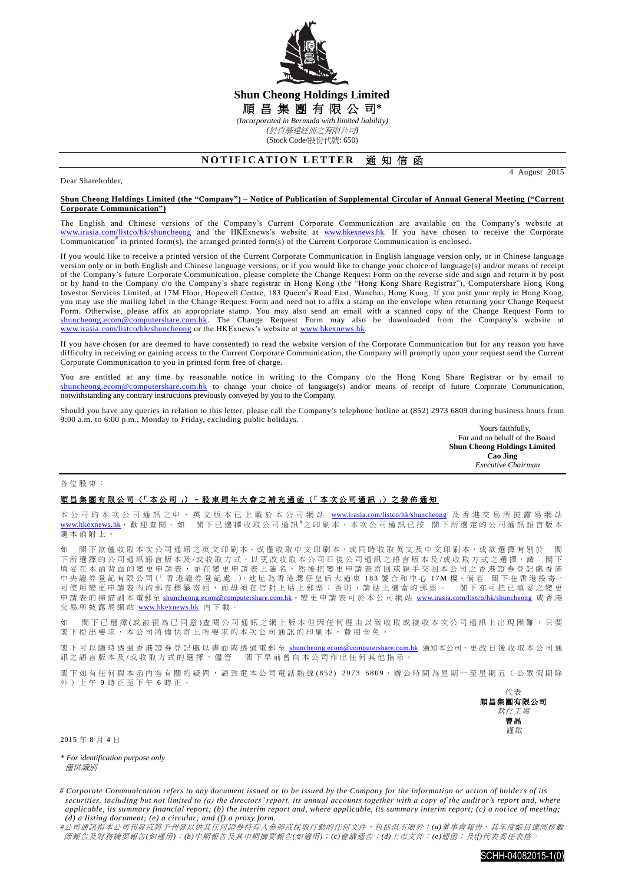

## **Shun Cheong Holdings Limited** 順 昌 集 團 有 限 公 司**\*** *(Incorporated in Bermuda with limited liability)*

*(*於百慕達註冊之有限公司*)*

(Stock Code/股份代號: 650)

## **NOTIFICATION LETTER 通知信函**

Dear Shareholder,

4 August 2015

## **Shun Cheong Holdings Limited (the "Company") – Notice of Publication of Supplemental Circular of Annual General Meeting ("Current Corporate Communication")**

The English and Chinese versions of the Company's Current Corporate Communication are available on the Company's website at [www.irasia.com/listco/hk/shuncheong](http://www.irasia.com/listco/hk/shuncheong) and the HKExnews's website at [www.hkexnews.hk.](http://www.hkexnews.hk/) If you have chosen to receive the Corporate Communication<sup>#</sup> in printed form(s), the arranged printed form(s) of the Current Corporate Communication is enclosed.

If you would like to receive a printed version of the Current Corporate Communication in English language version only, or in Chinese language version only or in both English and Chinese language versions, or if you would like to change your choice of language(s) and/or means of receipt of the Company's future Corporate Communication, please complete the Change Request Form on the reverse side and sign and return it by post or by hand to the Company c/o the Company's share registrar in Hong Kong (the "Hong Kong Share Registrar"), Computershare Hong Kong Investor Services Limited, at 17M Floor, Hopewell Centre, 183 Queen's Road East, Wanchai, Hong Kong. If you post your reply in Hong Kong, you may use the mailing label in the Change Request Form and need not to affix a stamp on the envelope when returning your Change Request Form. Otherwise, please affix an appropriate stamp. You may also send an email with a scanned copy of the Change Request Form to [shuncheong.ecom@computershare.com.hk.](mailto:shuncheong.ecom@computershare.com.hk) The Change Request Form may also be downloaded from the Company's website at [www.irasia.com/listco/hk/shuncheong](http://www.irasia.com/listco/hk/shuncheong) or the HKExnews's website at www.hkexnews.hk.

If you have chosen (or are deemed to have consented) to read the website version of the Corporate Communication but for any reason you have difficulty in receiving or gaining access to the Current Corporate Communication, the Company will promptly upon your request send the Current Corporate Communication to you in printed form free of charge.

You are entitled at any time by reasonable notice in writing to the Company c/o the Hong Kong Share Registrar or by email to [shuncheong.ecom@computershare.com.hk](mailto:shuncheong.ecom@computershare.com.hk) to change your choice of language(s) and/or means of receipt of future Corporate Communication, notwithstanding any contrary instructions previously conveyed by you to the Company.

Should you have any queries in relation to this letter, please call the Company's telephone hotline at (852) 2973 6809 during business hours from 9:00 a.m. to 6:00 p.m., Monday to Friday, excluding public holidays.

Yours faithfully, For and on behalf of the Board **Shun Cheong Holdings Limited Cao Jing**  *Executive Chairman*

各位股東 :

## 順昌集團有限公司 (「本公司」) – 股東周年大會之補充通函 (「本次公司通訊」) 之發佈通知

本 公 司 的 本 次 公 司 通 訊 之 中 、 英 文 版 本 已 上 載 於 本 公 司 網 站 [www.irasia.com/listco/hk/shuncheong](http://www.irasia.com/listco/hk/shuncheong) 及 香 港 交 易 所 披 露 易 網 站 [www.hkexnews.hk](http://www.hkexnews.hk/), 歡 迎 查 閱 。 如 閣 下 已 選 擇 收 取 公 司 通 訊 <sup>#</sup>之 印 刷 本 , 本 次 公 司 通 訊 已 按 閣 下 所 選 定 的 公 司 通 訊 語 言 版 本 隨本函附上 。

如 閣下欲僅收取本次公司通訊之英文印刷本、或僅收取中文印刷本,或同時收取英文及中文印刷本,或欲選擇有別於 閣 下所選擇的公司通訊語言版本 及 /或 收 取 方 式 , 以 更 改 收 取 本公司日後 公司通訊之語言版本及 /或收取方式 之選擇 , 請 閣 下 填妥在本函背面的變更申請表,並在變更申請表上簽名,然後把變更申請表寄回或親手交回本公司之香港證券登記處香港 中央證券登記有限公司(「香港證券登記處」),地址為香港灣仔皇后大道東 183 號合和中心 17M 樓。倘若 閣下在香港投寄, 可使用變更申請表內的郵寄標籤寄回,而毋須在信封上貼上郵票;否則,請貼上適當的郵票。 閣下亦可把已填妥之變更 申請表 的掃描副本 電郵至 [shuncheong.ecom@computershare.com.hk](mailto:shuncheong.ecom@computershare.com.hk)。變 更 申請表可於 本公司 網 站 [www.irasia.com/listco/hk/shuncheong](http://www.irasia.com/listco/hk/shuncheong) 或 香 港 交易所披露易網站 [www.hkexnews.hk](http://www.hkexnews.hk/) 內 下載。

如 閣下已 選 擇 ( 或 被 視 為 已 同 意 ) 查 閱 公 司 通 訊 之 網 上 版 本 但 因 任 何 理 由 以 致 收 取 或 接 收 本 次 公 司 通 訊 上 出 現 困 難 , 只 要 閣 下 提出要求, 本公司將儘 快寄上所要求的 本次公司通訊 的印刷本,費用全免。

閣下可以隨時透過香港證券登記處以書面或透過電郵至 [shuncheong.ecom@computershare.com.hk](mailto:shuncheong.ecom@computershare.com.hk) 通知本公司,更改日後收取本公司通 訊之語言版本及/或收取方式的選擇,儘管 閣下早前曾向本公司作出任何其他指示。

閣下如有任何與本函內容有關的疑問,請致電本公司電話熱線(852) 2973 6809,辦公時間為星期一至星期五(公眾假期除 外)上午 9 時正至下午 6 時正。



2015 年 8 月 4 日

*\* For identification purpose only* **催**供諦則

*<sup>#</sup>*公司通訊指本公司刊發或將予刊發以供其任何證券持有人參照或採取行動的任何文件,包括但不限於:*(a)*董事會報告、其年度帳目連同核數 師報告及財務摘要報告*(*如適用*)*;*(b)*中期報告及其中期摘要報告*(*如適用*)*;*(c)*會議通告;*(d)*上市文件;*(e)*通函;及*(f)*代表委任表格。



*<sup>#</sup> Corporate Communication refers to any document issued or to be issued by the Company for the information or action of holde rs of its securities, including but not limited to (a) the directors' report, its annual accounts together with a copy of the auditor's report and, where applicable, its summary financial report; (b) the interim report and, where applicable, its summary interim report; (c) a notice of meeting; (d) a listing document; (e) a circular; and (f) a proxy form.*